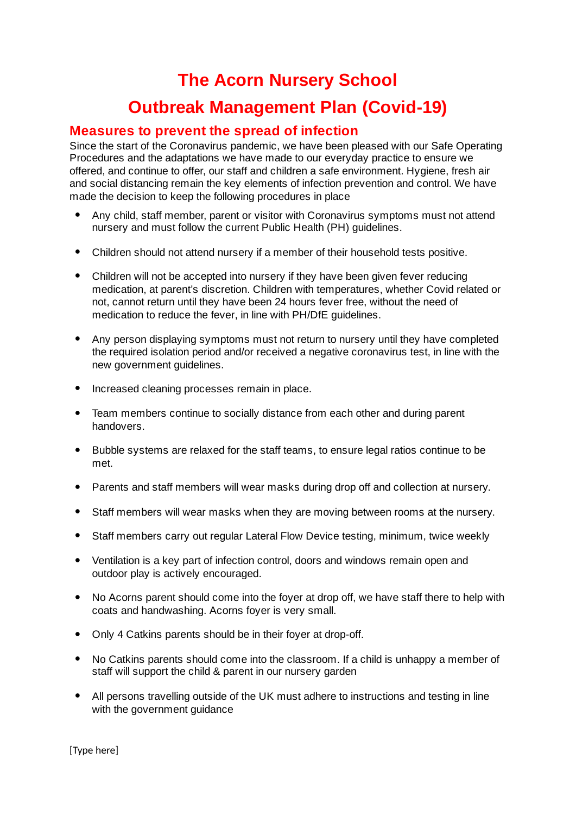# **The Acorn Nursery School Outbreak Management Plan (Covid-19)**

# **Measures to prevent the spread of infection**

Since the start of the Coronavirus pandemic, we have been pleased with our Safe Operating Procedures and the adaptations we have made to our everyday practice to ensure we offered, and continue to offer, our staff and children a safe environment. Hygiene, fresh air and social distancing remain the key elements of infection prevention and control. We have made the decision to keep the following procedures in place

- Any child, staff member, parent or visitor with Coronavirus symptoms must not attend nursery and must follow the current Public Health (PH) guidelines. ●
- Children should not attend nursery if a member of their household tests positive.
- Children will not be accepted into nursery if they have been given fever reducing medication, at parent's discretion. Children with temperatures, whether Covid related or not, cannot return until they have been 24 hours fever free, without the need of medication to reduce the fever, in line with PH/DfE guidelines.
- Any person displaying symptoms must not return to nursery until they have completed the required isolation period and/or received a negative coronavirus test, in line with the new government guidelines.  $\bullet$
- Increased cleaning processes remain in place.
- Team members continue to socially distance from each other and during parent handovers.  $\bullet$
- Bubble systems are relaxed for the staff teams, to ensure legal ratios continue to be met. ●
- Parents and staff members will wear masks during drop off and collection at nursery.
- Staff members will wear masks when they are moving between rooms at the nursery.
- Staff members carry out regular Lateral Flow Device testing, minimum, twice weekly
- Ventilation is a key part of infection control, doors and windows remain open and outdoor play is actively encouraged.
- No Acorns parent should come into the foyer at drop off, we have staff there to help with coats and handwashing. Acorns foyer is very small.  $\bullet$
- Only 4 Catkins parents should be in their foyer at drop-off.
- No Catkins parents should come into the classroom. If a child is unhappy a member of staff will support the child & parent in our nursery garden  $\bullet$
- All persons travelling outside of the UK must adhere to instructions and testing in line with the government guidance ●

[Type here]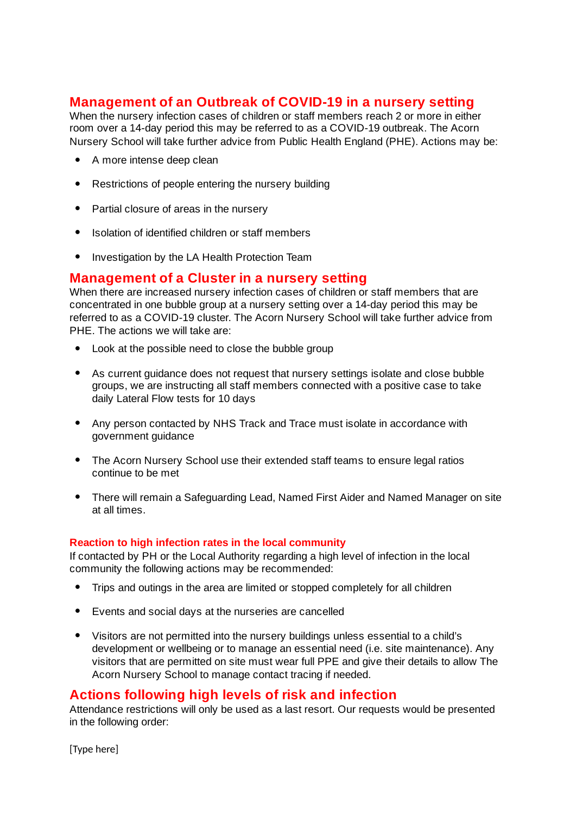# **Management of an Outbreak of COVID-19 in a nursery setting**

When the nursery infection cases of children or staff members reach 2 or more in either room over a 14-day period this may be referred to as a COVID-19 outbreak. The Acorn Nursery School will take further advice from Public Health England (PHE). Actions may be:

- A more intense deep clean
- Restrictions of people entering the nursery building
- Partial closure of areas in the nursery
- Isolation of identified children or staff members
- Investigation by the LA Health Protection Team

## **Management of a Cluster in a nursery setting**

When there are increased nursery infection cases of children or staff members that are concentrated in one bubble group at a nursery setting over a 14-day period this may be referred to as a COVID-19 cluster. The Acorn Nursery School will take further advice from PHE. The actions we will take are:

- Look at the possible need to close the bubble group
- As current guidance does not request that nursery settings isolate and close bubble groups, we are instructing all staff members connected with a positive case to take daily Lateral Flow tests for 10 days
- Any person contacted by NHS Track and Trace must isolate in accordance with government guidance
- The Acorn Nursery School use their extended staff teams to ensure legal ratios continue to be met
- There will remain a Safeguarding Lead, Named First Aider and Named Manager on site at all times. ●

#### **Reaction to high infection rates in the local community**

If contacted by PH or the Local Authority regarding a high level of infection in the local community the following actions may be recommended:

- Trips and outings in the area are limited or stopped completely for all children
- Events and social days at the nurseries are cancelled
- Visitors are not permitted into the nursery buildings unless essential to a child's development or wellbeing or to manage an essential need (i.e. site maintenance). Any visitors that are permitted on site must wear full PPE and give their details to allow The Acorn Nursery School to manage contact tracing if needed.

### **Actions following high levels of risk and infection**

Attendance restrictions will only be used as a last resort. Our requests would be presented in the following order:

[Type here]